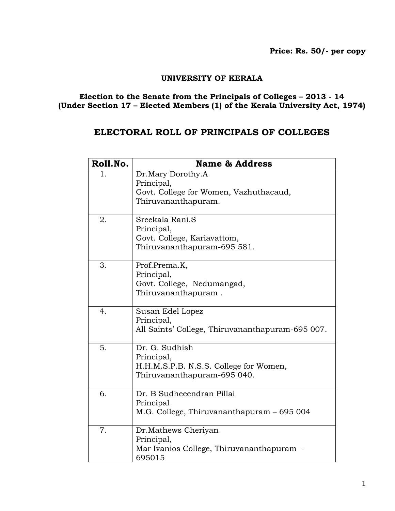#### **UNIVERSITY OF KERALA**

### **Election to the Senate from the Principals of Colleges – 2013 - 14 (Under Section 17 – Elected Members (1) of the Kerala University Act, 1974)**

## **ELECTORAL ROLL OF PRINCIPALS OF COLLEGES**

| Roll.No. | <b>Name &amp; Address</b>                                                                             |
|----------|-------------------------------------------------------------------------------------------------------|
| 1.       | Dr.Mary Dorothy.A<br>Principal,<br>Govt. College for Women, Vazhuthacaud,<br>Thiruvananthapuram.      |
| 2.       | Sreekala Rani.S<br>Principal,<br>Govt. College, Kariavattom,<br>Thiruvananthapuram-695 581.           |
| 3.       | Prof.Prema.K,<br>Principal,<br>Govt. College, Nedumangad,<br>Thiruvananthapuram .                     |
| 4.       | Susan Edel Lopez<br>Principal,<br>All Saints' College, Thiruvananthapuram-695 007.                    |
| 5.       | Dr. G. Sudhish<br>Principal,<br>H.H.M.S.P.B. N.S.S. College for Women,<br>Thiruvananthapuram-695 040. |
| 6.       | Dr. B Sudheeendran Pillai<br>Principal<br>M.G. College, Thiruvananthapuram - 695 004                  |
| 7.       | Dr.Mathews Cheriyan<br>Principal,<br>Mar Ivanios College, Thiruvananthapuram -<br>695015              |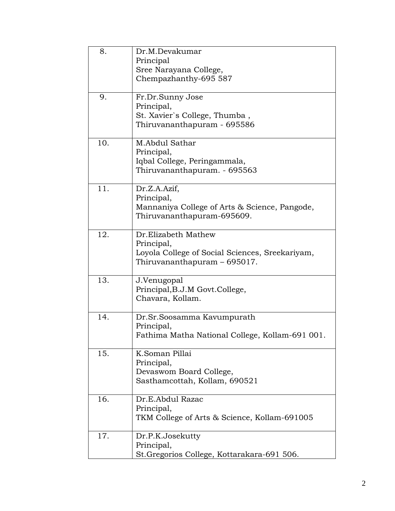| 8.  | Dr.M.Devakumar                                  |
|-----|-------------------------------------------------|
|     | Principal                                       |
|     | Sree Narayana College,                          |
|     | Chempazhanthy-695 587                           |
|     |                                                 |
| 9.  | Fr.Dr.Sunny Jose                                |
|     | Principal,                                      |
|     | St. Xavier's College, Thumba,                   |
|     | Thiruvananthapuram - 695586                     |
|     |                                                 |
| 10. | M.Abdul Sathar                                  |
|     | Principal,                                      |
|     | Iqbal College, Peringammala,                    |
|     | Thiruvananthapuram. - 695563                    |
|     |                                                 |
| 11. | Dr.Z.A.Azif,                                    |
|     | Principal,                                      |
|     | Mannaniya College of Arts & Science, Pangode,   |
|     | Thiruvananthapuram-695609.                      |
|     |                                                 |
| 12. | Dr.Elizabeth Mathew                             |
|     | Principal,                                      |
|     | Loyola College of Social Sciences, Sreekariyam, |
|     | Thiruvananthapuram – 695017.                    |
|     |                                                 |
| 13. | J.Venugopal                                     |
|     | Principal, B.J.M Govt.College,                  |
|     | Chavara, Kollam.                                |
|     |                                                 |
| 14. | Dr.Sr.Soosamma Kavumpurath                      |
|     | Principal,                                      |
|     | Fathima Matha National College, Kollam-691 001. |
| 15. | K.Soman Pillai                                  |
|     | Principal,                                      |
|     | Devaswom Board College,                         |
|     | Sasthamcottah, Kollam, 690521                   |
|     |                                                 |
| 16. | Dr.E.Abdul Razac                                |
|     | Principal,                                      |
|     | TKM College of Arts & Science, Kollam-691005    |
|     |                                                 |
| 17. | Dr.P.K.Josekutty                                |
|     | Principal,                                      |
|     | St. Gregorios College, Kottarakara-691 506.     |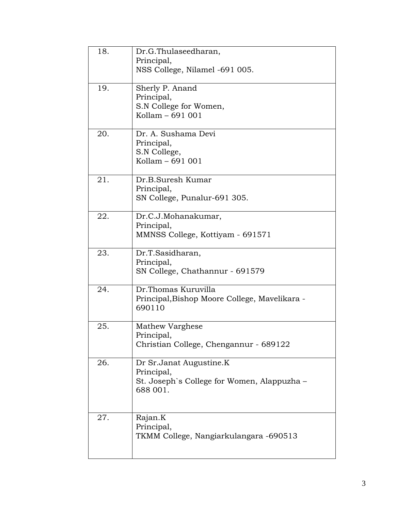| 18. | Dr.G.Thulaseedharan,<br>Principal,<br>NSS College, Nilamel -691 005.                               |
|-----|----------------------------------------------------------------------------------------------------|
| 19. | Sherly P. Anand<br>Principal,<br>S.N College for Women,<br>Kollam - 691 001                        |
| 20. | Dr. A. Sushama Devi<br>Principal,<br>S.N College,<br>Kollam - 691 001                              |
| 21. | Dr.B.Suresh Kumar<br>Principal,<br>SN College, Punalur-691 305.                                    |
| 22. | Dr.C.J.Mohanakumar,<br>Principal,<br>MMNSS College, Kottiyam - 691571                              |
| 23. | Dr.T.Sasidharan,<br>Principal,<br>SN College, Chathannur - 691579                                  |
| 24. | Dr. Thomas Kuruvilla<br>Principal, Bishop Moore College, Mavelikara -<br>690110                    |
| 25. | Mathew Varghese<br>Principal,<br>Christian College, Chengannur - 689122                            |
| 26. | Dr Sr. Janat Augustine. K<br>Principal,<br>St. Joseph's College for Women, Alappuzha –<br>688 001. |
| 27. | Rajan.K<br>Principal,<br>TKMM College, Nangiarkulangara -690513                                    |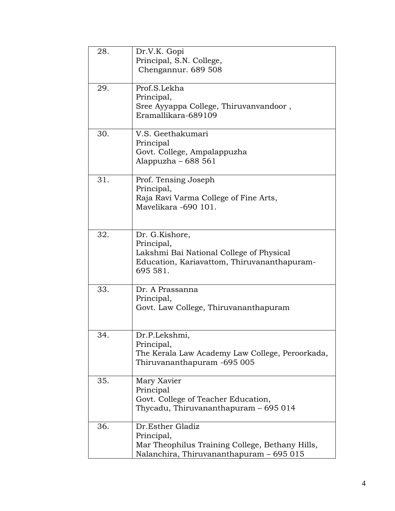| 28. | Dr.V.K. Gopi                                    |
|-----|-------------------------------------------------|
|     | Principal, S.N. College,                        |
|     | Chengannur. 689 508                             |
| 29. | Prof.S.Lekha                                    |
|     | Principal,                                      |
|     | Sree Ayyappa College, Thiruvanvandoor,          |
|     | Eramallikara-689109                             |
|     |                                                 |
| 30. | V.S. Geethakumari                               |
|     | Principal                                       |
|     | Govt. College, Ampalappuzha                     |
|     | Alappuzha – $688561$                            |
| 31. | Prof. Tensing Joseph                            |
|     | Principal,                                      |
|     | Raja Ravi Varma College of Fine Arts,           |
|     | Mavelikara -690 101.                            |
|     |                                                 |
| 32. | Dr. G.Kishore,                                  |
|     | Principal,                                      |
|     | Lakshmi Bai National College of Physical        |
|     | Education, Kariavattom, Thiruvananthapuram-     |
|     | 695 581.                                        |
|     |                                                 |
| 33. | Dr. A Prassanna                                 |
|     | Principal,                                      |
|     | Govt. Law College, Thiruvananthapuram           |
|     |                                                 |
| 34. | Dr.P.Lekshmi,                                   |
|     | Principal,                                      |
|     | The Kerala Law Academy Law College, Peroorkada, |
|     | Thiruvananthapuram -695 005                     |
| 35. | Mary Xavier                                     |
|     | Principal                                       |
|     | Govt. College of Teacher Education,             |
|     | Thycadu, Thiruvananthapuram – 695 014           |
| 36. | Dr.Esther Gladiz                                |
|     | Principal,                                      |
|     | Mar Theophilus Training College, Bethany Hills, |
|     | Nalanchira, Thiruvananthapuram – 695 015        |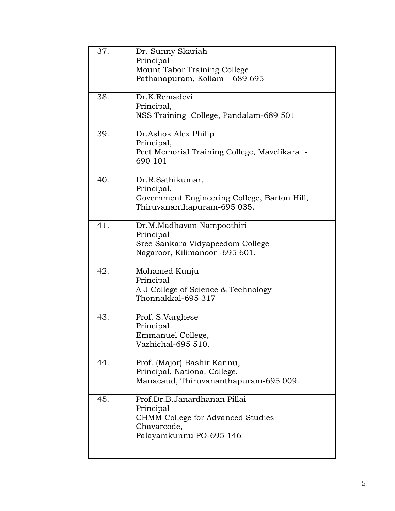| 37. | Dr. Sunny Skariah                            |
|-----|----------------------------------------------|
|     | Principal                                    |
|     | Mount Tabor Training College                 |
|     | Pathanapuram, Kollam – 689 695               |
| 38. | Dr.K.Remadevi                                |
|     | Principal,                                   |
|     | NSS Training College, Pandalam-689 501       |
| 39. | Dr.Ashok Alex Philip                         |
|     | Principal,                                   |
|     | Peet Memorial Training College, Mavelikara - |
|     | 690 101                                      |
| 40. | Dr.R.Sathikumar,                             |
|     | Principal,                                   |
|     | Government Engineering College, Barton Hill, |
|     | Thiruvananthapuram-695 035.                  |
| 41. | Dr.M.Madhavan Nampoothiri                    |
|     | Principal                                    |
|     | Sree Sankara Vidyapeedom College             |
|     | Nagaroor, Kilimanoor -695 601.               |
| 42. | Mohamed Kunju                                |
|     | Principal                                    |
|     | A J College of Science & Technology          |
|     | Thonnakkal-695 317                           |
| 43. | Prof. S. Varghese                            |
|     | Principal                                    |
|     | Emmanuel College,                            |
|     | Vazhichal-695 510.                           |
| 44. | Prof. (Major) Bashir Kannu,                  |
|     | Principal, National College,                 |
|     | Manacaud, Thiruvananthapuram-695 009.        |
| 45. | Prof.Dr.B.Janardhanan Pillai                 |
|     | Principal                                    |
|     | CHMM College for Advanced Studies            |
|     | Chavarcode,<br>Palayamkunnu PO-695 146       |
|     |                                              |
|     |                                              |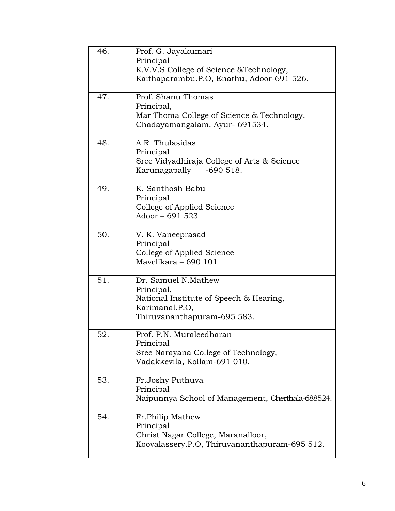| 46. | Prof. G. Jayakumari<br>Principal<br>K.V.V.S College of Science & Technology,<br>Kaithaparambu.P.O, Enathu, Adoor-691 526.     |
|-----|-------------------------------------------------------------------------------------------------------------------------------|
| 47. | Prof. Shanu Thomas<br>Principal,<br>Mar Thoma College of Science & Technology,<br>Chadayamangalam, Ayur- 691534.              |
| 48. | A R Thulasidas<br>Principal<br>Sree Vidyadhiraja College of Arts & Science<br>Karunagapally -690 518.                         |
| 49. | K. Santhosh Babu<br>Principal<br>College of Applied Science<br>Adoor - 691 523                                                |
| 50. | V. K. Vaneeprasad<br>Principal<br>College of Applied Science<br>Mavelikara - 690 101                                          |
| 51. | Dr. Samuel N.Mathew<br>Principal,<br>National Institute of Speech & Hearing,<br>Karimanal.P.O,<br>Thiruvananthapuram-695 583. |
| 52. | Prof. P.N. Muraleedharan<br>Principal<br>Sree Narayana College of Technology,<br>Vadakkevila, Kollam-691 010.                 |
| 53. | Fr.Joshy Puthuva<br>Principal<br>Naipunnya School of Management, Cherthala-688524.                                            |
| 54. | Fr.Philip Mathew<br>Principal<br>Christ Nagar College, Maranalloor,<br>Koovalassery.P.O, Thiruvananthapuram-695 512.          |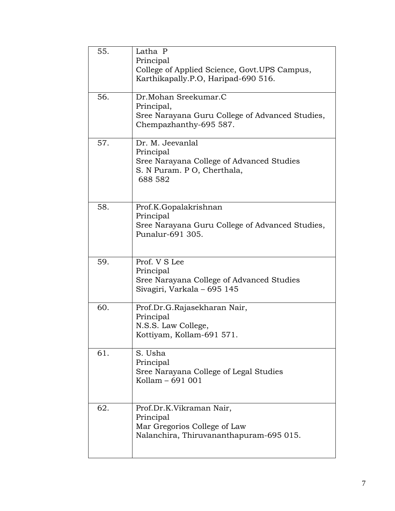| 55. | Latha P<br>Principal<br>College of Applied Science, Govt.UPS Campus,<br>Karthikapally.P.O, Haripad-690 516.          |
|-----|----------------------------------------------------------------------------------------------------------------------|
| 56. | Dr. Mohan Sreekumar. C<br>Principal,<br>Sree Narayana Guru College of Advanced Studies,<br>Chempazhanthy-695 587.    |
| 57. | Dr. M. Jeevanlal<br>Principal<br>Sree Narayana College of Advanced Studies<br>S. N Puram. P O, Cherthala,<br>688 582 |
| 58. | Prof.K.Gopalakrishnan<br>Principal<br>Sree Narayana Guru College of Advanced Studies,<br>Punalur-691 305.            |
| 59. | Prof. V S Lee<br>Principal<br>Sree Narayana College of Advanced Studies<br>Sivagiri, Varkala – 695 145               |
| 60. | Prof.Dr.G.Rajasekharan Nair,<br>Principal<br>N.S.S. Law College,<br>Kottiyam, Kollam-691 571                         |
| 61. | S. Usha<br>Principal<br>Sree Narayana College of Legal Studies<br>Kollam - 691 001                                   |
| 62. | Prof.Dr.K.Vikraman Nair,<br>Principal<br>Mar Gregorios College of Law<br>Nalanchira, Thiruvananthapuram-695 015.     |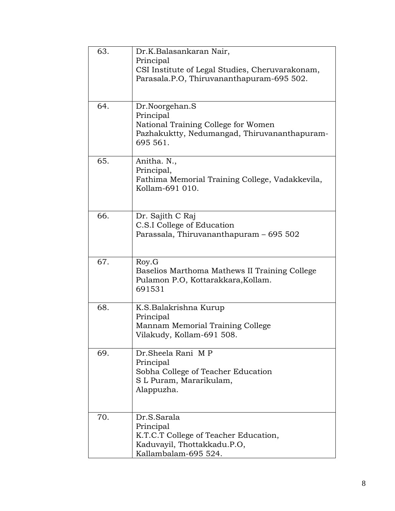| 63. | Dr.K.Balasankaran Nair,<br>Principal<br>CSI Institute of Legal Studies, Cheruvarakonam,<br>Parasala.P.O, Thiruvananthapuram-695 502. |
|-----|--------------------------------------------------------------------------------------------------------------------------------------|
| 64. | Dr.Noorgehan.S<br>Principal<br>National Training College for Women<br>Pazhakuktty, Nedumangad, Thiruvananthapuram-<br>695 561.       |
| 65. | Anitha. N.,<br>Principal,<br>Fathima Memorial Training College, Vadakkevila,<br>Kollam-691 010.                                      |
| 66. | Dr. Sajith C Raj<br>C.S.I College of Education<br>Parassala, Thiruvananthapuram – 695 502                                            |
| 67. | Roy.G<br>Baselios Marthoma Mathews II Training College<br>Pulamon P.O, Kottarakkara, Kollam.<br>691531                               |
| 68. | K.S.Balakrishna Kurup<br>Principal<br>Mannam Memorial Training College<br>Vilakudy, Kollam-691 508.                                  |
| 69. | Dr.Sheela Rani MP<br>Principal<br>Sobha College of Teacher Education<br>S L Puram, Mararikulam,<br>Alappuzha.                        |
| 70. | Dr.S.Sarala<br>Principal<br>K.T.C.T College of Teacher Education,<br>Kaduvayil, Thottakkadu.P.O,<br>Kallambalam-695 524.             |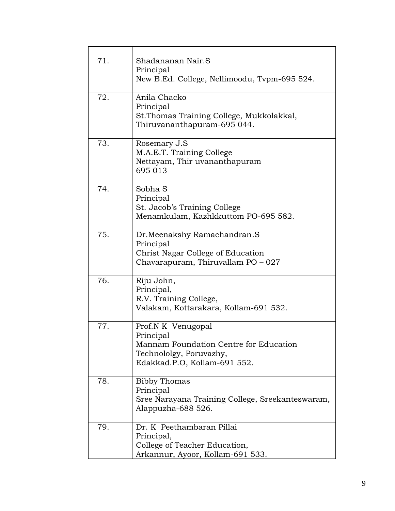| 71. | Shadananan Nair.S<br>Principal<br>New B.Ed. College, Nellimoodu, Tvpm-695 524.                                                       |
|-----|--------------------------------------------------------------------------------------------------------------------------------------|
| 72. | Anila Chacko<br>Principal<br>St. Thomas Training College, Mukkolakkal,<br>Thiruvananthapuram-695 044.                                |
| 73. | Rosemary J.S<br>M.A.E.T. Training College<br>Nettayam, Thir uvananthapuram<br>695 013                                                |
| 74. | Sobha S<br>Principal<br>St. Jacob's Training College<br>Menamkulam, Kazhkkuttom PO-695 582.                                          |
| 75. | Dr. Meenakshy Ramachandran. S<br>Principal<br>Christ Nagar College of Education<br>Chavarapuram, Thiruvallam PO - 027                |
| 76. | Riju John,<br>Principal,<br>R.V. Training College,<br>Valakam, Kottarakara, Kollam-691 532.                                          |
| 77. | Prof.N K Venugopal<br>Principal<br>Mannam Foundation Centre for Education<br>Technololgy, Poruvazhy,<br>Edakkad.P.O, Kollam-691 552. |
| 78. | <b>Bibby Thomas</b><br>Principal<br>Sree Narayana Training College, Sreekanteswaram,<br>Alappuzha-688 526.                           |
| 79. | Dr. K Peethambaran Pillai<br>Principal,<br>College of Teacher Education,<br>Arkannur, Ayoor, Kollam-691 533.                         |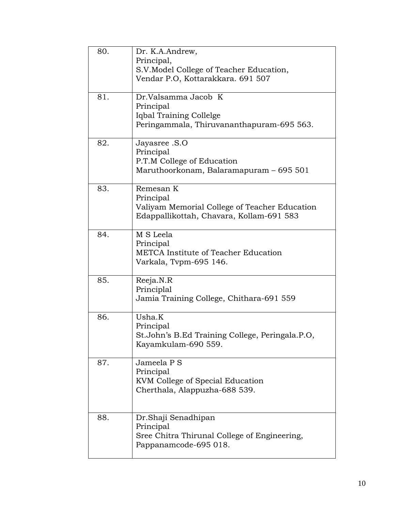| 80. | Dr. K.A.Andrew,                                                                           |
|-----|-------------------------------------------------------------------------------------------|
|     | Principal,                                                                                |
|     | S.V. Model College of Teacher Education,                                                  |
|     | Vendar P.O, Kottarakkara. 691 507                                                         |
| 81. | Dr. Valsamma Jacob K                                                                      |
|     | Principal                                                                                 |
|     | Iqbal Training Collelge                                                                   |
|     | Peringammala, Thiruvananthapuram-695 563.                                                 |
| 82. | Jayasree .S.O                                                                             |
|     | Principal                                                                                 |
|     | P.T.M College of Education                                                                |
|     | Maruthoorkonam, Balaramapuram – 695 501                                                   |
| 83. | Remesan K                                                                                 |
|     | Principal                                                                                 |
|     | Valiyam Memorial College of Teacher Education<br>Edappallikottah, Chavara, Kollam-691 583 |
|     |                                                                                           |
| 84. | M S Leela                                                                                 |
|     | Principal                                                                                 |
|     | <b>METCA Institute of Teacher Education</b>                                               |
|     | Varkala, Tvpm-695 146.                                                                    |
| 85. | Reeja.N.R                                                                                 |
|     | Principlal                                                                                |
|     | Jamia Training College, Chithara-691 559                                                  |
| 86. | Usha.K                                                                                    |
|     | Principal                                                                                 |
|     | St.John's B.Ed Training College, Peringala.P.O,                                           |
|     | Kayamkulam-690 559.                                                                       |
| 87. | Jameela P S                                                                               |
|     | Principal                                                                                 |
|     | KVM College of Special Education                                                          |
|     | Cherthala, Alappuzha-688 539.                                                             |
|     |                                                                                           |
| 88. | Dr.Shaji Senadhipan                                                                       |
|     | Principal                                                                                 |
|     | Sree Chitra Thirunal College of Engineering,                                              |
|     | Pappanamcode-695 018.                                                                     |
|     |                                                                                           |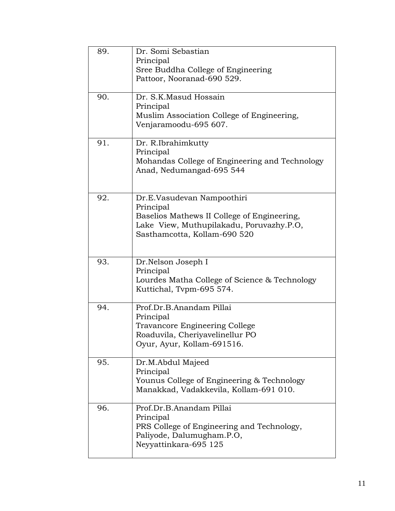| 89. | Dr. Somi Sebastian<br>Principal<br>Sree Buddha College of Engineering<br>Pattoor, Nooranad-690 529.                                                                |
|-----|--------------------------------------------------------------------------------------------------------------------------------------------------------------------|
| 90. | Dr. S.K.Masud Hossain<br>Principal<br>Muslim Association College of Engineering,<br>Venjaramoodu-695 607.                                                          |
| 91. | Dr. R.Ibrahimkutty<br>Principal<br>Mohandas College of Engineering and Technology<br>Anad, Nedumangad-695 544                                                      |
| 92. | Dr.E.Vasudevan Nampoothiri<br>Principal<br>Baselios Mathews II College of Engineering,<br>Lake View, Muthupilakadu, Poruvazhy.P.O,<br>Sasthamcotta, Kollam-690 520 |
| 93. | Dr.Nelson Joseph I<br>Principal<br>Lourdes Matha College of Science & Technology<br>Kuttichal, Typm-695 574.                                                       |
| 94. | Prof.Dr.B.Anandam Pillai<br>Principal<br>Travancore Engineering College<br>Roaduvila, Cheriyavelinellur PO<br>Oyur, Ayur, Kollam-691516.                           |
| 95. | Dr.M.Abdul Majeed<br>Principal<br>Younus College of Engineering & Technology<br>Manakkad, Vadakkevila, Kollam-691 010.                                             |
| 96. | Prof.Dr.B.Anandam Pillai<br>Principal<br>PRS College of Engineering and Technology,<br>Paliyode, Dalumugham.P.O,<br>Neyyattinkara-695 125                          |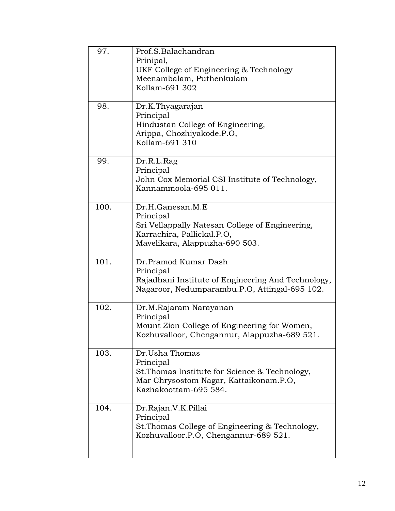| 97.  | Prof.S.Balachandran<br>Prinipal,<br>UKF College of Engineering & Technology<br>Meenambalam, Puthenkulam<br>Kollam-691 302                        |
|------|--------------------------------------------------------------------------------------------------------------------------------------------------|
| 98.  | Dr.K.Thyagarajan<br>Principal<br>Hindustan College of Engineering,<br>Arippa, Chozhiyakode.P.O,<br>Kollam-691 310                                |
| 99.  | Dr.R.L.Rag<br>Principal<br>John Cox Memorial CSI Institute of Technology,<br>Kannammoola-695 011.                                                |
| 100. | Dr.H.Ganesan.M.E<br>Principal<br>Sri Vellappally Natesan College of Engineering,<br>Karrachira, Pallickal.P.O,<br>Mavelikara, Alappuzha-690 503. |
| 101. | Dr.Pramod Kumar Dash<br>Principal<br>Rajadhani Institute of Engineering And Technology,<br>Nagaroor, Nedumparambu.P.O, Attingal-695 102.         |
| 102. | Dr.M.Rajaram Narayanan<br>Principal<br>Mount Zion College of Engineering for Women,<br>Kozhuvalloor, Chengannur, Alappuzha-689 521.              |
| 103. | Dr.Usha Thomas<br>Principal<br>St. Thomas Institute for Science & Technology,<br>Mar Chrysostom Nagar, Kattaikonam.P.O,<br>Kazhakoottam-695 584. |
| 104. | Dr.Rajan.V.K.Pillai<br>Principal<br>St. Thomas College of Engineering & Technology,<br>Kozhuvalloor.P.O, Chengannur-689 521.                     |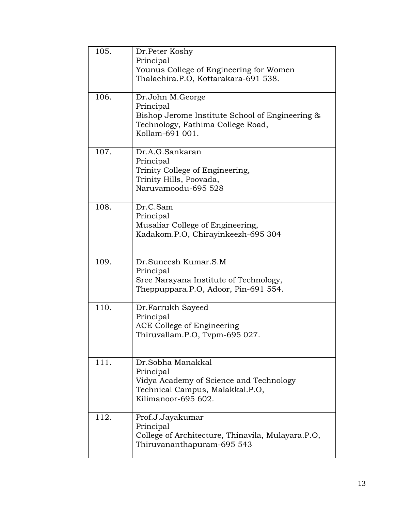| 105. | Dr. Peter Koshy<br>Principal<br>Younus College of Engineering for Women<br>Thalachira.P.O, Kottarakara-691 538.                          |
|------|------------------------------------------------------------------------------------------------------------------------------------------|
| 106. | Dr.John M.George<br>Principal<br>Bishop Jerome Institute School of Engineering &<br>Technology, Fathima College Road,<br>Kollam-691 001. |
| 107. | Dr.A.G.Sankaran<br>Principal<br>Trinity College of Engineering,<br>Trinity Hills, Poovada,<br>Naruvamoodu-695 528                        |
| 108. | Dr.C.Sam<br>Principal<br>Musaliar College of Engineering,<br>Kadakom.P.O, Chirayinkeezh-695 304                                          |
| 109. | Dr.Suneesh Kumar.S.M<br>Principal<br>Sree Narayana Institute of Technology,<br>Theppuppara.P.O, Adoor, Pin-691 554.                      |
| 110. | Dr.Farrukh Sayeed<br>Principal<br><b>ACE College of Engineering</b><br>Thiruvallam.P.O, Tvpm-695 027.                                    |
| 111. | Dr.Sobha Manakkal<br>Principal<br>Vidya Academy of Science and Technology<br>Technical Campus, Malakkal.P.O,<br>Kilimanoor-695 602.      |
| 112. | Prof.J.Jayakumar<br>Principal<br>College of Architecture, Thinavila, Mulayara.P.O,<br>Thiruvananthapuram-695 543                         |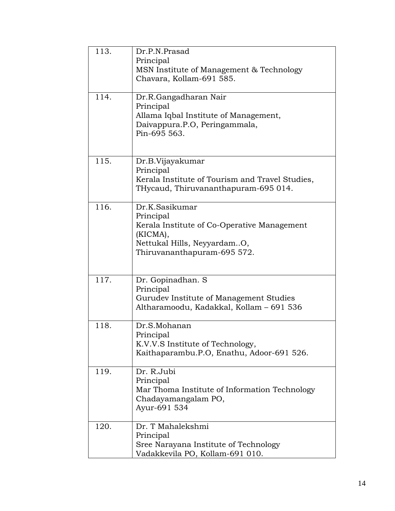| 113. | Dr.P.N.Prasad                                   |  |
|------|-------------------------------------------------|--|
|      | Principal                                       |  |
|      | MSN Institute of Management & Technology        |  |
|      | Chavara, Kollam-691 585.                        |  |
|      |                                                 |  |
| 114. | Dr.R.Gangadharan Nair                           |  |
|      | Principal                                       |  |
|      | Allama Iqbal Institute of Management,           |  |
|      | Daivappura.P.O, Peringammala,                   |  |
|      | Pin-695 563.                                    |  |
|      |                                                 |  |
|      |                                                 |  |
| 115. | Dr.B.Vijayakumar                                |  |
|      | Principal                                       |  |
|      | Kerala Institute of Tourism and Travel Studies, |  |
|      | THycaud, Thiruvananthapuram-695 014.            |  |
|      |                                                 |  |
| 116. | Dr.K.Sasikumar                                  |  |
|      | Principal                                       |  |
|      | Kerala Institute of Co-Operative Management     |  |
|      | (KICMA),                                        |  |
|      | Nettukal Hills, NeyyardamO,                     |  |
|      | Thiruvananthapuram-695 572.                     |  |
|      |                                                 |  |
|      |                                                 |  |
| 117. | Dr. Gopinadhan. S                               |  |
|      | Principal                                       |  |
|      | Gurudev Institute of Management Studies         |  |
|      | Altharamoodu, Kadakkal, Kollam - 691 536        |  |
| 118. | Dr.S.Mohanan                                    |  |
|      | Principal                                       |  |
|      | K.V.V.S Institute of Technology,                |  |
|      | Kaithaparambu.P.O, Enathu, Adoor-691 526.       |  |
|      |                                                 |  |
| 119. | Dr. R.Jubi                                      |  |
|      | Principal                                       |  |
|      | Mar Thoma Institute of Information Technology   |  |
|      | Chadayamangalam PO,                             |  |
|      | Ayur-691 534                                    |  |
|      |                                                 |  |
| 120. | Dr. T Mahalekshmi                               |  |
|      | Principal                                       |  |
|      | Sree Narayana Institute of Technology           |  |
|      | Vadakkevila PO, Kollam-691 010.                 |  |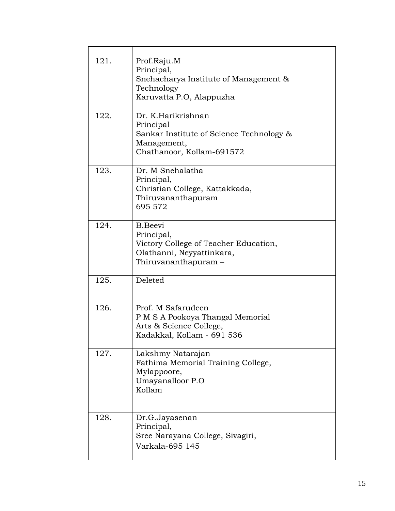| 121. | Prof.Raju.M<br>Principal,<br>Snehacharya Institute of Management &<br>Technology<br>Karuvatta P.O, Alappuzha               |
|------|----------------------------------------------------------------------------------------------------------------------------|
| 122. | Dr. K.Harikrishnan<br>Principal<br>Sankar Institute of Science Technology &<br>Management,<br>Chathanoor, Kollam-691572    |
| 123. | Dr. M Snehalatha<br>Principal,<br>Christian College, Kattakkada,<br>Thiruvananthapuram<br>695 572                          |
| 124. | <b>B.Beevi</b><br>Principal,<br>Victory College of Teacher Education,<br>Olathanni, Neyyattinkara,<br>Thiruvananthapuram – |
| 125. | Deleted                                                                                                                    |
| 126. | Prof. M Safarudeen<br>P M S A Pookoya Thangal Memorial<br>Arts & Science College,<br>Kadakkal, Kollam - 691 536            |
| 127. | Lakshmy Natarajan<br>Fathima Memorial Training College,<br>Mylappoore,<br>Umayanalloor P.O<br>Kollam                       |
| 128. | Dr.G.Jayasenan<br>Principal,<br>Sree Narayana College, Sivagiri,<br>Varkala-695 145                                        |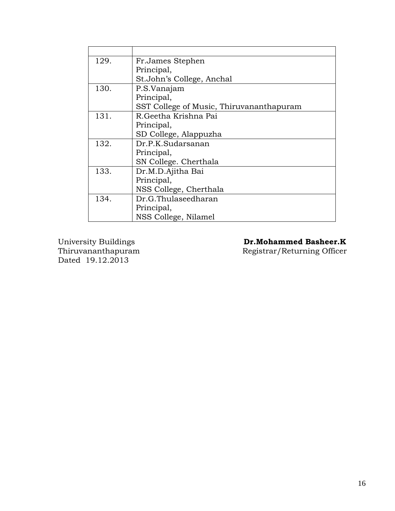| 129. | Fr. James Stephen                        |  |  |  |
|------|------------------------------------------|--|--|--|
|      | Principal,                               |  |  |  |
|      | St. John's College, Anchal               |  |  |  |
| 130. | P.S.Vanajam                              |  |  |  |
|      | Principal,                               |  |  |  |
|      | SST College of Music, Thiruvananthapuram |  |  |  |
| 131. | R.Geetha Krishna Pai                     |  |  |  |
|      | Principal,                               |  |  |  |
|      | SD College, Alappuzha                    |  |  |  |
| 132. | Dr.P.K.Sudarsanan                        |  |  |  |
|      | Principal,                               |  |  |  |
|      | SN College. Cherthala                    |  |  |  |
| 133. | Dr.M.D.Ajitha Bai                        |  |  |  |
|      | Principal,                               |  |  |  |
|      | NSS College, Cherthala                   |  |  |  |
| 134. | Dr.G.Thulaseedharan                      |  |  |  |
|      | Principal,                               |  |  |  |
|      | NSS College, Nilamel                     |  |  |  |

University Buildings<br>Thiruvananthapuram<br>Dated 19.12.2013

### **Dr.Mohammed Basheer.K**

Registrar/Returning Officer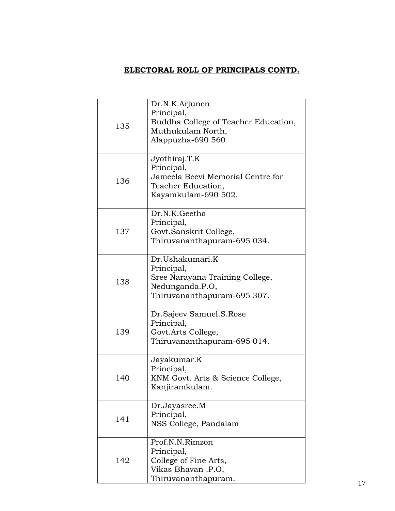# **ELECTORAL ROLL OF PRINCIPALS CONTD.**

| 135 | Dr.N.K.Arjunen<br>Principal,<br>Buddha College of Teacher Education,<br>Muthukulam North,<br>Alappuzha-690 560     |  |
|-----|--------------------------------------------------------------------------------------------------------------------|--|
| 136 | Jyothiraj.T.K<br>Principal,<br>Jameela Beevi Memorial Centre for<br>Teacher Education,<br>Kayamkulam-690 502.      |  |
| 137 | Dr.N.K.Geetha<br>Principal,<br>Govt.Sanskrit College,<br>Thiruvananthapuram-695 034.                               |  |
| 138 | Dr.Ushakumari.K<br>Principal,<br>Sree Narayana Training College,<br>Nedunganda.P.O,<br>Thiruvananthapuram-695 307. |  |
| 139 | Dr.Sajeev Samuel.S.Rose<br>Principal,<br>Govt.Arts College,<br>Thiruvananthapuram-695 014.                         |  |
| 140 | Jayakumar.K<br>Principal,<br>KNM Govt. Arts & Science College,<br>Kanjiramkulam                                    |  |
| 141 | Dr.Jayasree.M<br>Principal,<br>NSS College, Pandalam                                                               |  |
| 142 | Prof.N.N.Rimzon<br>Principal,<br>College of Fine Arts,<br>Vikas Bhavan .P.O,<br>Thiruvananthapuram.                |  |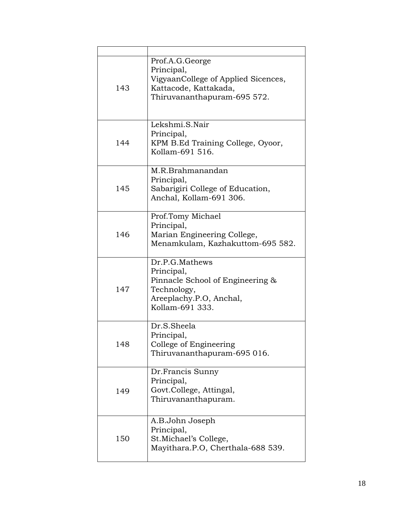| 143 | Prof.A.G.George<br>Principal,<br>VigyaanCollege of Applied Sicences,<br>Kattacode, Kattakada,<br>Thiruvananthapuram-695 572.  |  |
|-----|-------------------------------------------------------------------------------------------------------------------------------|--|
| 144 | Lekshmi.S.Nair<br>Principal,<br>KPM B.Ed Training College, Oyoor,<br>Kollam-691 516.                                          |  |
| 145 | M.R.Brahmanandan<br>Principal,<br>Sabarigiri College of Education,<br>Anchal, Kollam-691 306.                                 |  |
| 146 | Prof.Tomy Michael<br>Principal,<br>Marian Engineering College,<br>Menamkulam, Kazhakuttom-695 582.                            |  |
| 147 | Dr.P.G.Mathews<br>Principal,<br>Pinnacle School of Engineering &<br>Technology,<br>Areeplachy.P.O, Anchal,<br>Kollam-691 333. |  |
| 148 | Dr.S.Sheela<br>Principal<br>College of Engineering<br>Thiruvananthapuram-695 016.                                             |  |
| 149 | Dr.Francis Sunny<br>Principal,<br>Govt.College, Attingal,<br>Thiruvananthapuram.                                              |  |
| 150 | A.B.John Joseph<br>Principal,<br>St. Michael's College,<br>Mayithara.P.O, Cherthala-688 539.                                  |  |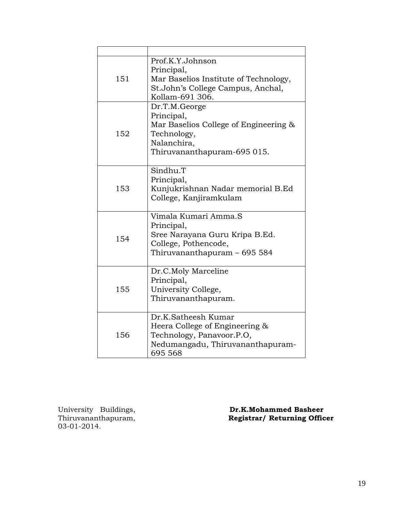| 151 | Prof.K.Y.Johnson<br>Principal,<br>Mar Baselios Institute of Technology,<br>St.John's College Campus, Anchal,<br>Kollam-691 306.   |  |
|-----|-----------------------------------------------------------------------------------------------------------------------------------|--|
| 152 | Dr.T.M.George<br>Principal,<br>Mar Baselios College of Engineering &<br>Technology,<br>Nalanchira,<br>Thiruvananthapuram-695 015. |  |
| 153 | Sindhu.T<br>Principal,<br>Kunjukrishnan Nadar memorial B.Ed<br>College, Kanjiramkulam                                             |  |
| 154 | Vimala Kumari Amma.S<br>Principal,<br>Sree Narayana Guru Kripa B.Ed.<br>College, Pothencode,<br>Thiruvananthapuram - 695 584      |  |
| 155 | Dr.C.Moly Marceline<br>Principal,<br>University College,<br>Thiruvananthapuram.                                                   |  |
| 156 | Dr.K.Satheesh Kumar<br>Heera College of Engineering &<br>Technology, Panavoor.P.O,<br>Nedumangadu, Thiruvananthapuram-<br>695 568 |  |

University Buildings,<br>Thiruvananthapuram,<br>03-01-2014.

**Dr.K.Mohammed Basheer** Registrar/ Returning Officer